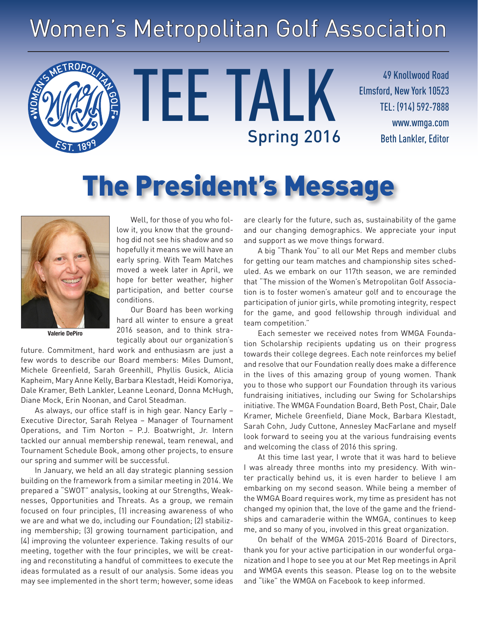# Women's Metropolitan Golf Association

TEE TALK

49 Knollwood Road Elmsford, New York 10523 TEL: (914) 592-7888 www.wmga.com Spring 2016 Beth Lankler, Editor

# The President's Message



Well, for those of you who follow it, you know that the groundhog did not see his shadow and so hopefully it means we will have an early spring. With Team Matches moved a week later in April, we hope for better weather, higher participation, and better course conditions.

**Valerie DePiro**

Our Board has been working hard all winter to ensure a great 2016 season, and to think strategically about our organization's

future. Commitment, hard work and enthusiasm are just a few words to describe our Board members: Miles Dumont, Michele Greenfield, Sarah Greenhill, Phyllis Gusick, Alicia Kapheim, Mary Anne Kelly, Barbara Klestadt, Heidi Komoriya, Dale Kramer, Beth Lankler, Leanne Leonard, Donna McHugh, Diane Mock, Erin Noonan, and Carol Steadman.

As always, our office staff is in high gear. Nancy Early – Executive Director, Sarah Relyea – Manager of Tournament Operations, and Tim Norton – P.J. Boatwright, Jr. Intern tackled our annual membership renewal, team renewal, and Tournament Schedule Book, among other projects, to ensure our spring and summer will be successful.

In January, we held an all day strategic planning session building on the framework from a similar meeting in 2014. We prepared a "SWOT" analysis, looking at our Strengths, Weaknesses, Opportunities and Threats. As a group, we remain focused on four principles, (1) increasing awareness of who we are and what we do, including our Foundation; (2) stabilizing membership; (3) growing tournament participation, and (4) improving the volunteer experience. Taking results of our meeting, together with the four principles, we will be creating and reconstituting a handful of committees to execute the ideas formulated as a result of our analysis. Some ideas you may see implemented in the short term; however, some ideas are clearly for the future, such as, sustainability of the game and our changing demographics. We appreciate your input and support as we move things forward.

A big "Thank You" to all our Met Reps and member clubs for getting our team matches and championship sites scheduled. As we embark on our 117th season, we are reminded that "The mission of the Women's Metropolitan Golf Association is to foster women's amateur golf and to encourage the participation of junior girls, while promoting integrity, respect for the game, and good fellowship through individual and team competition."

Each semester we received notes from WMGA Foundation Scholarship recipients updating us on their progress towards their college degrees. Each note reinforces my belief and resolve that our Foundation really does make a difference in the lives of this amazing group of young women. Thank you to those who support our Foundation through its various fundraising initiatives, including our Swing for Scholarships initiative. The WMGA Foundation Board, Beth Post, Chair, Dale Kramer, Michele Greenfield, Diane Mock, Barbara Klestadt, Sarah Cohn, Judy Cuttone, Annesley MacFarlane and myself look forward to seeing you at the various fundraising events and welcoming the class of 2016 this spring.

At this time last year, I wrote that it was hard to believe I was already three months into my presidency. With winter practically behind us, it is even harder to believe I am embarking on my second season. While being a member of the WMGA Board requires work, my time as president has not changed my opinion that, the love of the game and the friendships and camaraderie within the WMGA, continues to keep me, and so many of you, involved in this great organization.

On behalf of the WMGA 2015-2016 Board of Directors, thank you for your active participation in our wonderful organization and I hope to see you at our Met Rep meetings in April and WMGA events this season. Please log on to the website and "like" the WMGA on Facebook to keep informed.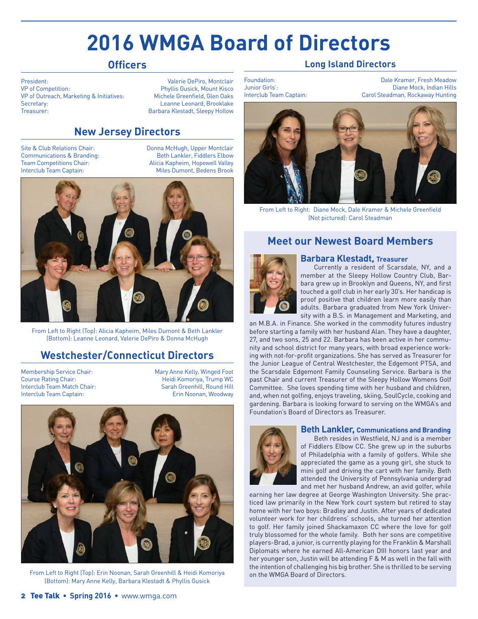## **2016 WMGA Board of Directors**

#### **Officers**

President: Valerie DePiro, Montclair VP of Competition: <br>
VP of Outreach. Marketing & Initiatives: Phyllis Gusick, Mount Kisco<br>
Michele Greenfield. Glen Oaks VP of Outreach, Marketing & Initiatives:<br>Secretary: Treasurer: Barbara Klestadt, Sleepy Hollow

Leanne Leonard, Brooklake

#### **New Jersey Directors**

Site & Club Relations Chair: Donna McHugh, Upper Montclair Communications & Branding: The Beth Lankler, Fiddlers Elbow<br>
Team Competitions Chair: The Paticia Kapheim, Hopewell Valley Alicia Kapheim, Hopewell Valley Interclub Team Captain: Miles Dumont, Bedens Brook



From Left to Right (Top): Alicia Kapheim, Miles Dumont & Beth Lankler (Bottom): Leanne Leonard, Valerie DePiro & Donna McHugh

#### **Westchester/Connecticut Directors**

Membership Service Chair: Mary Anne Kelly, Winged Foot Course Rating Chair: Heidi Komoriya, Trump WC Interclub Team Match Chair: Interclub Team Captain: Erin Noonan, Woodway



From Left to Right (Top): Erin Noonan, Sarah Greenhill & Heidi Komoriya (Bottom): Mary Anne Kelly, Barbara Klestadt & Phyllis Gusick

#### **Long Island Directors**

Foundation: Dale Kramer, Fresh Meadow Diane Mock, Indian Hills Interclub Team Captain: Carol Steadman, Rockaway Hunting



From Left to Right: Diane Mock, Dale Kramer & Michele Greenfield (Not pictured): Carol Steadman

#### **Meet our Newest Board Members**



**Barbara Klestadt, Treasurer** Currently a resident of Scarsdale, NY, and a member at the Sleepy Hollow Country Club, Barbara grew up in Brooklyn and Queens, NY, and first touched a golf club in her early 30's. Her handicap is proof positive that children learn more easily than adults. Barbara graduated from New York University with a B.S. in Management and Marketing, and

an M.B.A. in Finance. She worked in the commodity futures industry before starting a family with her husband Alan. They have a daughter, 27, and two sons, 25 and 22. Barbara has been active in her community and school district for many years, with broad experience working with not-for-profit organizations. She has served as Treasurer for the Junior League of Central Westchester, the Edgemont PTSA, and the Scarsdale Edgemont Family Counseling Service. Barbara is the past Chair and current Treasurer of the Sleepy Hollow Womens Golf Committee. She loves spending time with her husband and children, and, when not golfing, enjoys traveling, skiing, SoulCycle, cooking and gardening. Barbara is looking forward to serving on the WMGA's and Foundation's Board of Directors as Treasurer.



#### **Beth Lankler, Communications and Branding**

Beth resides in Westfield, NJ and is a member of Fiddlers Elbow CC. She grew up in the suburbs of Philadelphia with a family of golfers. While she appreciated the game as a young girl, she stuck to mini golf and driving the cart with her family. Beth attended the University of Pennsylvania undergrad and met her husband Andrew, an avid golfer, while

earning her law degree at George Washington University. She practiced law primarily in the New York court system but retired to stay home with her two boys: Bradley and Justin. After years of dedicated volunteer work for her childrens' schools, she turned her attention to golf. Her family joined Shackamaxon CC where the love for golf truly blossomed for the whole family. Both her sons are competitive players-Brad, a junior, is currently playing for the Franklin & Marshall Diplomats where he earned All-American DIII honors last year and her younger son, Justin will be attending F & M as well in the fall with the intention of challenging his big brother. She is thrilled to be serving on the WMGA Board of Directors.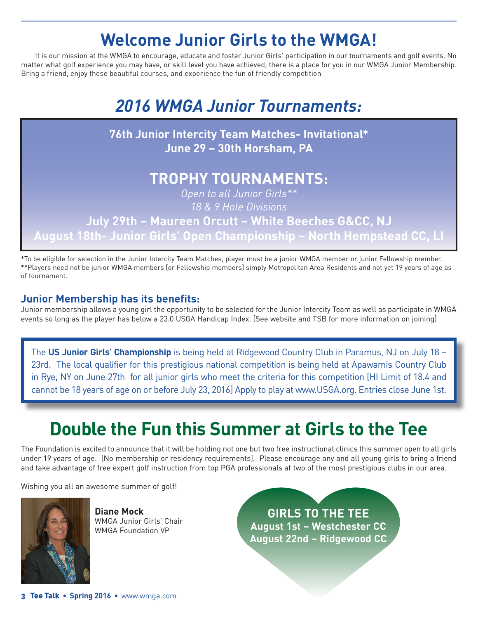## **Welcome Junior Girls to the WMGA!**

It is our mission at the WMGA to encourage, educate and foster Junior Girls' participation in our tournaments and golf events. No matter what golf experience you may have, or skill level you have achieved, there is a place for you in our WMGA Junior Membership. Bring a friend, enjoy these beautiful courses, and experience the fun of friendly competition

## *2016 WMGA Junior Tournaments:*



\*To be eligible for selection in the Junior Intercity Team Matches, player must be a junior WMGA member or junior Fellowship member. \*\*Players need not be junior WMGA members [or Fellowship members] simply Metropolitan Area Residents and not yet 19 years of age as of tournament.

#### **Junior Membership has its benefits:**

Junior membership allows a young girl the opportunity to be selected for the Junior Intercity Team as well as participate in WMGA events so long as the player has below a 23.0 USGA Handicap Index. [See website and TSB for more information on joining]

The **US Junior Girls' Championship** is being held at Ridgewood Country Club in Paramus, NJ on July 18 – 23rd. The local qualifier for this prestigious national competition is being held at Apawamis Country Club in Rye, NY on June 27th for all junior girls who meet the criteria for this competition [HI Limit of 18.4 and cannot be 18 years of age on or before July 23, 2016] Apply to play at www.USGA.org. Entries close June 1st.

## **Double the Fun this Summer at Girls to the Tee**

The Foundation is excited to announce that it will be holding not one but two free instructional clinics this summer open to all girls under 19 years of age. [No membership or residency requirements]. Please encourage any and all young girls to bring a friend and take advantage of free expert golf instruction from top PGA professionals at two of the most prestigious clubs in our area.

Wishing you all an awesome summer of golf!



**Diane Mock** WMGA Junior Girls' Chair WMGA Foundation VP

**GIRLS TO THE TEE August 1st – Westchester CC August 22nd – Ridgewood CC**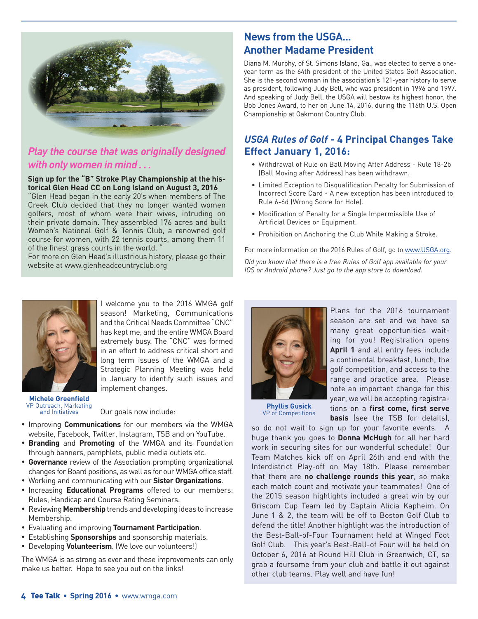

#### *Play the course that was originally designed with only women in mind . . .*

#### **Sign up for the "B" Stroke Play Championship at the historical Glen Head CC on Long Island on August 3, 2016**

"Glen Head began in the early 20's when members of The Creek Club decided that they no longer wanted women golfers, most of whom were their wives, intruding on their private domain. They assembled 176 acres and built Women's National Golf & Tennis Club, a renowned golf course for women, with 22 tennis courts, among them 11 of the finest grass courts in the world. "

For more on Glen Head's illustrious history, please go their website at www.glenheadcountryclub.org

#### **News from the USGA... Another Madame President**

Diana M. Murphy, of St. Simons Island, Ga., was elected to serve a oneyear term as the 64th president of the United States Golf Association. She is the second woman in the association's 121-year history to serve as president, following Judy Bell, who was president in 1996 and 1997. And speaking of Judy Bell, the USGA will bestow its highest honor, the Bob Jones Award, to her on June 14, 2016, during the 116th U.S. Open Championship at Oakmont Country Club.

#### *USGA Rules of Golf* **- 4 Principal Changes Take Effect January 1, 2016:**

- Withdrawal of Rule on Ball Moving After Address Rule 18-2b (Ball Moving after Address) has been withdrawn.
- Limited Exception to Disqualification Penalty for Submission of Incorrect Score Card - A new exception has been introduced to Rule 6-6d (Wrong Score for Hole).
- Modification of Penalty for a Single Impermissible Use of Artificial Devices or Equipment.
- Prohibition on Anchoring the Club While Making a Stroke.

For more information on the 2016 Rules of Golf, go to www.USGA.org.

*Did you know that there is a free Rules of Golf app available for your IOS or Android phone? Just go to the app store to download.*



I welcome you to the 2016 WMGA golf season! Marketing, Communications and the Critical Needs Committee "CNC" has kept me, and the entire WMGA Board extremely busy. The "CNC" was formed in an effort to address critical short and long term issues of the WMGA and a Strategic Planning Meeting was held in January to identify such issues and implement changes.

**Michele Greenfield** VP Outreach, Marketing and Initiatives

Our goals now include:

- • Improving **Communications** for our members via the WMGA website, Facebook, Twitter, Instagram, TSB and on YouTube.
- • **Branding** and **Promoting** of the WMGA and its Foundation through banners, pamphlets, public media outlets etc.
- **Governance** review of the Association prompting organizational changes for Board positions, as well as for our WMGA office staff.
- • Working and communicating with our **Sister Organizations**.
- • Increasing **Educational Programs** offered to our members: Rules, Handicap and Course Rating Seminars.
- • Reviewing **Membership** trends and developing ideas to increase Membership.
- • Evaluating and improving **Tournament Participation**.
- • Establishing **Sponsorships** and sponsorship materials.
- • Developing **Volunteerism**. (We love our volunteers!)

The WMGA is as strong as ever and these improvements can only make us better. Hope to see you out on the links!



Plans for the 2016 tournament season are set and we have so many great opportunities waiting for you! Registration opens **April 1** and all entry fees include a continental breakfast, lunch, the golf competition, and access to the range and practice area. Please note an important change for this year, we will be accepting registrations on a **first come, first serve basis** (see the TSB for details),

**Phyllis Gusick** VP of Competitions

so do not wait to sign up for your favorite events. A huge thank you goes to **Donna McHugh** for all her hard work in securing sites for our wonderful schedule! Our Team Matches kick off on April 26th and end with the Interdistrict Play-off on May 18th. Please remember that there are **no challenge rounds this year**, so make each match count and motivate your teammates! One of the 2015 season highlights included a great win by our Griscom Cup Team led by Captain Alicia Kapheim. On June 1 & 2, the team will be off to Boston Golf Club to defend the title! Another highlight was the introduction of the Best-Ball-of-Four Tournament held at Winged Foot Golf Club. This year's Best-Ball-of Four will be held on October 6, 2016 at Round Hill Club in Greenwich, CT, so grab a foursome from your club and battle it out against other club teams. Play well and have fun!